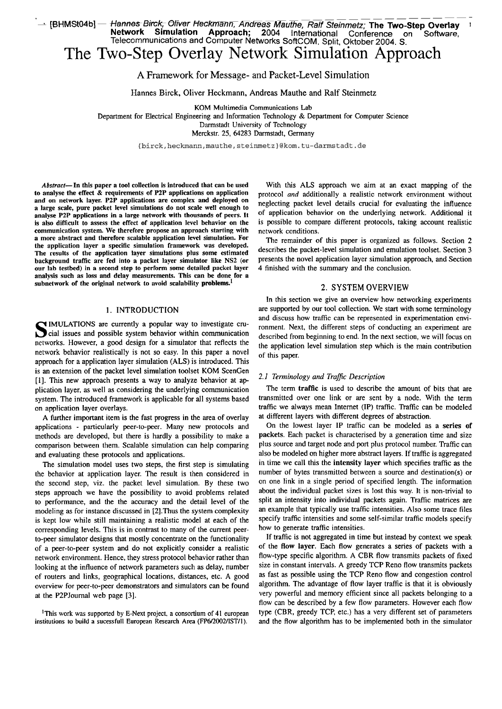---P-- ------- - '- pMSK)#] - \*meBm3k; %ver ~cftmän~AndEaSMäuthe~~alf Steinmetz; **The Two-Step Overlay 1 Network Simulation Approach; 2004** International Conference on Software, Telecommunications and Computer Networks SoftCOM. Split, Oktober 2004. S.

# The Two-Step Overlay Network Simulation Approach

A Framework for Message- and Packet-Level Simulation

Hannes Birck, Oliver Heckmann, Andreas Mauthe and Ralf Steinmetz

KOM Multimedia Communications Lab

Department for Electrical Engineering and Information Technology & Department for Computer Science Darmstadt University of Technology Merckstr. 25, 64283 Darmstadt, Germany

{birck, heckmann, mauthe, steinmetz}@kom.tu-darmstadt.de

Abstract-In this paper a tool collection is introduced that can be used to analyse the effect & requirements of **P2P** applications on application a large scale, pure packet level simulations do not scale well enough to analyse P2P applications in a large network with thousands of peers. It is also difficult to assess the effect of application level behavior on the communication system. We therefore propose an approach starting with a more abstract and therefore scalable application level simulation. For the application layer a specific simulation framework was developed. The results of the application layer simulations plus some estimated background traffic are fed into a packet layer simulator like NS2 (or our lah testbed) in a second step to perform some detailed packet layer analysis such as loss and delay measurements. This can be done for a subnetwork of the original network to avoid scalability problems.<sup>1</sup>

## 1. INTRODUCTION

**S** IMULATIONS are currently a popular way to investigate crucial issues and possible system behavior within communication networks. However, a good design for a simulator that reflects the network behavior realistically is not so easy. In this paper a novel approach for a application layer simulation (ALS) is introduced. This is an extension of the packet level sirnulation toolset KOM ScenGen **[I].** This new approach presents a way to analyze behavior at ap plication layer, as well as considering the underlying communication system. The introduced framework is applicable for all systems based on application layer overlays.

A further important item is the fast progress in the area of overlay applications - particularly peer-to-peer. Many new protocols and methods are developed, but there is hardly a possibility to make a comparison between them. Scalable simulation can help comparing and evaluating these protocols and applications.

The simulation model uses two steps, the first step is simulating the behavior at application layer. The result is then considered in the second step, viz. the packet level simulation. By these two steps approach we have the possibility to avoid problems related to perforrnance, and the the accuracy and the detail level of the modeling as for instance discussed in [2].Thus the system complexity is kept low while still maintaining a realistic model at each of the corresponding levels. This is in contrast to many of the current peerto-peer simulator designs that mostly concentrate on the functionality of a peer-to-peer system and do not explicitly consider a realistic network environment. Hence, they stress protocol behavior rather than looking at the influence of network parameters such **as** delay, number of routers and links, geographical locations, distances, etc. A good overview for peer-to-peer demonstrators and simulators can be found at the P2PJournal web page [3].

'This work was supported by E-Next project, a consortium of 41 european institutions to build a sucessfull European Research Area (FP6/2002/IST/1).

With this ALS approach we aim at an exact mapping of the protocol *and* additionally a realistic network environment without neglecting packet level details cmcial for evaluating the infiuence of application behavior on the underlying network. Additional it is possible to compare different protocols, taking account realistic network conditions.

The remainder of this paper is organized as follows. Section 2 describes the packet-level sirnulation and emulation toolset. Section 3 presents the novel application layer simulation approach, and Section 4 finished with the Summary and the conclusion.

#### 2. SYSTEM OVERVIEW

In this section we give an overview how networking experiments are supported by our tool collection. We Start with some terminology and discuss how traffic can be represented in experimentation environment. Next, the different steps of conducting an experiment are described from beginning to end. In the next section, we will focus on the application level simulation step which is the main contribution of this paper.

### *2.1 Terminology* **und** *Traffic Description*

The term traffic is used to describe the amount of bits that are transmitted over one link or are sent by a node. With the term traffic we always mean Intemet (IP) traffic. Traffic can be modeled at different layers with different degrees of abstraction.

On the lowest layer IP traffic can be modeled **as** a series of packets. Each packet is characterised by a generation time and size plus source and target node and port plus protocol number. Traffic can also be modeled on higher more abstract layers. If traffic is aggregated in time we call this the intensity layer which specifies traffic as the number of bytes transmitted between a source and destination(s) or on one link in a single period of specified length. The information about the individual packet sizes is lost this way. It is non-trivial to split an intensity into individual packets again. Traffic matrices are an example that typically use traffic intensities. Also some trace files specify traffic intensities and some self-similar traffic models specify how to generate traffic intensities.

If traffic is not aggregated in time but instead by context we speak of the flow layer. Each flow generates a series of packets with a flow-type specific algorithm. A CBR flow transmits packets of fixed size in constant intervals. A greedy TCP Reno flow transmits packets **as** fast as possible using the TCP Reno flow and congestion control algorithm. The advantage of flow layer traffic is that it is obviously very powerful and memory efficient since all packets belonging to a flow can be described by a few flow parameters. However each flow type (CBR, greedy TCP, etc.) has a very different set of parameters and the flow algorithm has to be implemented both in the simulator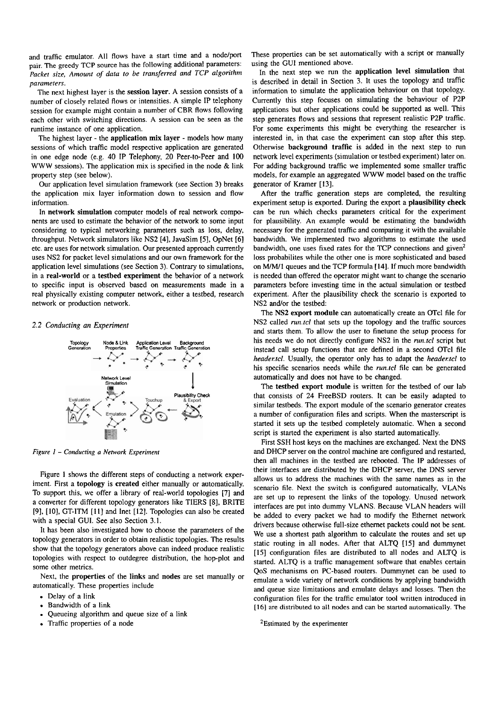and traffic emulator. All flows have a start time and a nodelport pair. The greedy TCP source has the following additional parameters: Packet size, Amount of data to be transferred and TCP algorithm *parameters.* 

The next highest layer is the session Iayer. A session consists of a number of closely related flows or intensities. A simple IP telephony session for example might contain a number of CBR flows following each other with switching directions. A session can be seen as the runtime instance of one application.

The highest layer - the application mix Iayer - models how many sessions of which traffic model respective application are generated in one edge node (e.g. 40 IP Telephony, 20 Peer-to-Peer and 100 **WWW** sessions). The application mix is specified in the node & link property step (see below).

Our application level simulation framework (see Section 3) breaks the application mix layer information down to session and flow information.

In network simulation computer models of real network components are used to estimate the behavior of the network to some input considering to typical networking parameters such as loss, delay, throughput. Network simulators like NS2 [4], JavaSim [SI, OpNet *[6]*  etc. are uses for network simulation. Our presented approach currently uses NS2 for packet level simulations and our own framework for the application level simulations (see Section 3). Contrary to simulations, in a real-world or a testbed experiment the behavior of a network to specific input is obsewed based on measurements made in a real physically existing computer network, either a testbed, research network or production network.

#### *2.2 Conducring an Experiment*



*Figure 1 – Conducting a Network Experiment* 

Figure 1 shows the different steps of conducting a network experiment. First a topology is created either manually or automatically. To support this, we offer a library of red-world topologies [7] and a converter for different topology generators like TIERS [8], BRITE [9], [10], GT-ITM [11] and Inet [12]. Topologies can also be created with a special GUI. See also Section 3.1.

It has been also investigated how to choose the parameters of the topology generators in order to obtain realistic topologies. The results show that the topology generators above can indeed produce realistic topologies with respect to outdegree distribution, the hop-plot and some other metrics.

Next, the properties of the links and nodes are set manually or automatically. These properties include . Delay of a link

- 
- Delay of a link<br>• Bandwidth of a link
- Bandwidth of a link<br>• Bandwidth of a link<br>• Queueing algorithm and queue size of a link • Bandwidth of a link<br>• Queueing algorithm and que<br>• Traffic properties of a node
- 

These properties can be set automatically with a script or manually using the GUI mentioned above.

In the next step we run the application level simulation that is described in detail in Section 3. It uses the topology and traffic information to simulate the application behaviour on that topology. Currently this step focuses on simulating the behaviour of P2P applications but other applications could be supported as well. This step generates flows and sessions that represent realistic P2P traffic. For some experiments this might be everything the researcher is interested in, in that case the experiment can stop after this step. Otherwise background traffic is added in the next step to run network level experiments (simulation or testbed experiment) later on. For adding background traffic we implemented some smaller traffic models, for exarnple an aggregated **WWW** model based on the traffic generator of Kramer [13].

After the traffic generation steps are completed, the resulting experiment setup is exported. During the export a plausibility check can be run which checks parameters critical for the experiment for plausibility. An example would **be** estimating the bandwidth necessary for the generated traffic and comparing it with the available bandwidth. We implemented two algorithms to estimate the used bandwidth, one uses fixed rates for the TCP connections and given<sup>2</sup> loss probabilites while the other one is more sophisticated and based on M/M/l queues and the TCP formula [14]. If much more bandwidth is needed than offered the operator might want to change the scenario parameters before investing time in the actual simulation or testbed experiment. After the plausibility check the scenario is exported to NS2 and/or the testbed:

The NS2 export module can automatically create an OTcl file for NS2 called *run.fcl* that sets up the topology and the traffic sources and starts them. To allow the user to finetune the setup process for his needs we do not directly configure NS2 in the *run.tcl* script but instead call setup functions that are defined in a second OTcl file *headectcl.* Usually, the operator only **has** to adapt the *headectcl* to his specific scenarios needs while the *run.tcl* file can be generated automaticaily and does not have **to** be changed.

The testbed export module is written for the testbed of our lab that consists of 24 FreeBSD routers. It can be easily adapted to similar testbeds. The export module of the scenario generator creates a number of configuration files and scripts. When the masterscript is started it sets up the testbed completely automatic. When a second script is started the experiment is also started automatically.

First SSH host keys on the machines are exchanged. Next the DNS and DHCP server on the control machine are configured and restarted, then all machines in the testbed are rebooted. The IP addresses of their interfaces are distributed by the DHCP server, the DNS server allows us to address the machines with the same names as in the scenario file. Next the switch is configured automatically, VLANs are set up to represent the links of the topology. Unused network interfaces are put into dummy VLANS. Because VLAN headers will be added to every packet we had to modify the Ethernet network drivers because otherwise full-size ethemet packets could not be sent. We use a shortest path algorithm to calculate the routes and set up static routing in all nodes. After that ALTQ [15] and dummynet [15] configuration files are distributed to all nodes and ALTQ is started. ALTQ is a traffic management software that enables certain QoS mechanisms on PC-based routers. Dumrnynet can be used to emulate a wide variety of network conditions by applying bandwidth and queue size limitations and emulate delays and losses. Then the configuration files for the traffic emulator tool written introduced in **[16]** are distnbuted to all nodes and can be started automatically. The

<sup>2</sup>Estimated by the experimenter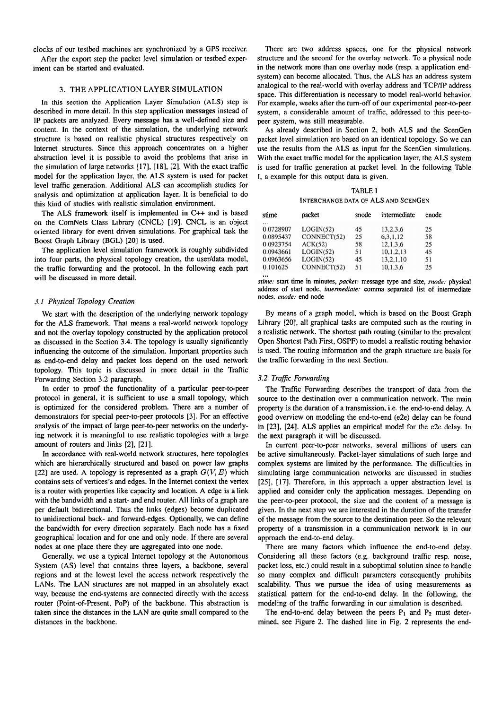clocks of our testbed machines are synchronized by a GPS receiver.

After the export step the packet level simulation or testbed experiment can be started and evaluated.

## 3. THE APPLICATION LAYER SIMULATION

In this section the Application Layer Simulation (ALS) step is described in more detail. In this step application messages instead of **P** packets are analyzed. Every message has a well-defined size and content. In the context of the simulation, the underlying network structure is based on realistic physical structures respectively on Intemet structures. Since this approach concentrates on a higher abstraction level it is possible to avoid the problems that arise in the simulation of large networks [17], [18], [2]. With the exact traffic model for the application layer, the ALS system is used for packet level traffic generation. Additional ALS can accomplish studies for analysis and optimization at application layer. It is beneficial to do this kind of studies with realistic simulation environment.

The ALS framework itself is implemented in C++ and is based on the ComNets Class Library (CNCL) [19]. CNCL is an object oriented library for event driven simulations. For graphical task the Boost Graph Library (BGL) **[20]** is used.

The application level simulation frarnework is roughly subdivided into four parts, the physical topology creation, the user/data model, the traflic forwarding and the protocol. In the following each part will **be** discussed in more detail.

## *3.1 Physical Topology Creation*

We start with the description of the underlying network topology for the ALS frarnework. That means a real-world network topology and not the overlay topology constructed by the application protocol as discussed in the Section 3.4. The topology is usually significantly influencing the outcome of the simulation. Important properties such as end-to-end delay and packet loss depend on the used network topology. This topic is discussed in more detail in the Traffic Forwarding Section 3.2 paragraph.

In order to proof the functionality of a particular peer-to-peer protocol in general, it is sufficient to use a small topology, which is optimized for the considered problem. There are a number of demonstrators for special peer-to-peer protocols [3]. For an effective analysis of the impact of large peer-to-peer networks on the underlying network it is meaningful to use realistic topologies with a large amount of routers and links **[2],** [21].

In accordance with real-world network structures, here topologies which are hierarchically structured and based on power law graphs [22] are used. A topology is represented as a graph  $G(V, E)$  which contains sets of vertices's and edges. In the Intemet context the vertex is a router with properties like capacity and location. **A** edge is a link with the bandwidth and a start- and end router. All links of a graph are per default bidirectional. Thus the links (edges) become duplicated to unidirectional back- and forward-edges. Optionally, we can define the bandwidth for every direction separately. Each node has a fixed geographical location and for one and only node. If there are several nodes at one place there they are aggregated into one node.

Generally, we use a typical Internet topology at the Autonomous System (AS) level that contains three layers, a backbone, several regions and at the lowest level the access network respectively the LANs. The LAN structures are not mapped in an absolutely exact way, because the end-systems are connected directly with the access router (Point-of-Present, POP) of the backbone. This abstraction is taken since the distances in the LAN are quite small compared to the distances in the backbone.

There are two address spaces, one for the physical network structure and the second for the overlay network. To a physical node in the network more than one overlay node (resp. a application endsystem) can become allocated. Thus, the ALS has an address system analogical to the red-world with overlay address and TCPIIP address space. This differentiation is necessary to model real-world behavior. For example, weeks after the turn-off of our experimental peer-to-peer system, a considerable amount of traffic, addressed to this peer-topeer system, was still measwable.

As already described in Section 2, both ALS and the ScenGen packet level simulation are based on an identical topology. So we can use the results from the ALS as input for the ScenGen simulations. With the exact traffic model for the application layer, the ALS system is used for traffic generation at packet level. In the following Table 1, a example for this output data is given.

**TABLE I INTERCHANGE DATA OF ALS AND SCENGEN** 

| stime     | packet      | snode | intermediate | enode |
|-----------|-------------|-------|--------------|-------|
| $\cdots$  |             |       |              |       |
| 0.0728907 | LOGIN(52)   | 45    | 13.2.3.6     | 25    |
| 0.0895437 | CONNECT(52) | 25    | 6, 3, 1, 12  | 58    |
| 0.0923754 | ACK(52)     | 58    | 12, 1, 3, 6  | 25    |
| 0.0943661 | LOGIN(52)   | 51    | 10,1,2,13    | 45    |
| 0.0963656 | LOGIN(52)   | 45    | 13,2,1,10    | 51    |
| 0.101625  | CONNECT(52) | 51    | 10, 1, 3, 6  | 25    |

... *stirne:* start time in minutes, *packet:* rnessage *type* and size, *snode:* physical address of start node, *interrnediate:* comma separated list **of** intermediate nodes. enode: end node

By means of a graph model, which is based on the Boost Graph Library **[20],** all graphical tasks are computed such **as** the routing in a realistic network. The shortest path routing (similar to the prevalent Open Shortest Path First, OSPF) to model a realistic routing behavior is used. The routing information and the graph structure are basis for the traffic fowarding in the next Section.

## 3.2 Traffic Forwarding

The Traffic Fowarding describes the transport of data from the source to the destination over a communication network. The main property is the duration of a transmission, i.e. the end-to-end delay. A good overview on modeling the end-to-end (e2e) delay can be found in [23], [24]. ALS applies an empirical model for the e2e delay. In the next paragraph it will be discussed.

In current peer-to-peer networks, several millions of users can **be** active simultaneously. Packet-layer simulations of such large and complex Systems are limited by the performance. The difficulties in simulating large communication networks are discussed in studies [25], [17]. Therefore, in this approach a upper abstraction level is applied and consider only the application messages. Depending on the peer-to-peer protocol, the size and the content of a message is given. In the next step we are interested in the duration of the transfer of the message from the source to the destination peer. So the relevant property of a transmission in a communication network is in our approach the end-to-end delay.

There are many factors which influence the end-to-end delay. Considering all these factors (e.g. background traffic resp. noise, packet loss, etc.) could result in a suboptimal solution since to handle so many complex and difficult parameters consequently prohibits scalability. Thus we pursue the idea of using measurements as statistical pattem for the end-to-end delay. Ln the following, the modeling of the traffic forwarding in our simulation is described.

The end-to-end delay between the peers  $P_1$  and  $P_2$  must determined, see Figure 2. The dashed line in Fig. 2 represents the end-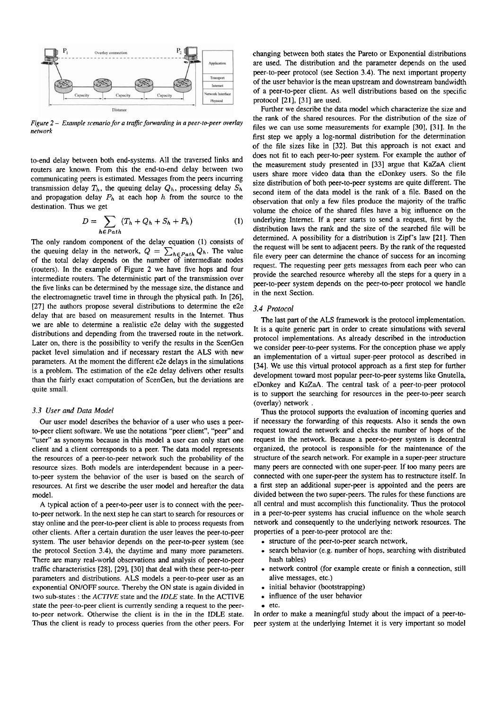

*Figure 2 - Example scenario for a traffic forwarding in a peer-to-peer overlay network* 

to-end delay between both end-systems. All the traversed links and routers are known. From this the end-to-end delay between two communicating peers is estimated. Messages from the peers incurring transmission delay  $T_h$ , the queuing delay  $Q_h$ , processing delay  $S_h$ and propagation delay  $P_h$  at each hop  $h$  from the source to the destination. Thus we get

$$
D = \sum_{h \in Path} (T_h + Q_h + S_h + P_h)
$$
 (1)

The only random component of the delay equation (1) consists of the queuing delay in the network,  $Q = \sum_{h \in Path} Q_h$ . The value of the total delay depends on the number of intermediate nodes (routers). In the example of Figure 2 we have five hops and fow intermediate routers. The deterministic part of the transmission over the five links can be determined by the message size, the distance and the electromagnetic travel time in through the physical path. In [26], [27] the authors propose several distributions to determine the e2e delay that are based on measurement results in the Intemet. Thus we are able to determine a realistic e2e delay with the suggested distributions and depending from the traversed route in the network. Later on, there is the possibility to verify the results in the ScenGen packet level simulation and if necessary restart the ALS with new parameters. At the moment the different e2e delays in the simulations is a problem. The estimation of the e2e delay delivers other results than the fairly exact computation of ScenGen, but the deviations are quite small.

#### *3.3 User* **und** *Data Model*

Our user model describes the behavior of a user who uses a peerto-peer client software. We use the notations "peer client", "peer" and "user" as synonyms because in this model a user can only start one client and a client corresponds to a peer. The data model represents the resources of a peer-to-peer network such the probability of the resource sizes. Both models are interdependent because in a peerto-peer system the behavior of the User is based on the search of resources. At first we describe the user model and hereafter the data model.

A typical action of a peer-to-peer user is to connect with the peerto-peer network. In the next step he can start to search for resources or stay online and the peer-to-peer client is able to process requests from other clients. After a certain duration the User leaves the peer-to-peer system. The user behavior depends on the peer-to-peer system (see the protocol Section 3.4), the daytime and many more parameters. There are many real-world observations and analysis of peer-to-peer traffic characteristics [28], [29], [30] that deal with these peer-to-peer parameters and distributions. ALS models a peer-to-peer user as an exponential ON/OFF source. Thereby the ON state is again divided in two sub-states : the ACTIVE state and the IDLE state. In the ACTlVE state the peer-to-peer client is currently sending a request to the peerto-peer network. Otherwise the client is in the in the lDLE state. Thus the client is ready to process queries from the other peers. For changing between both states the Pareto or Exponential distributions are used. The distribution and the parameter depends on the used peer-to-peer protocol (see Section 3.4). The next important property of the user behavior is the mean upstream and downstream bandwidth of a peer-to-peer client. As well distributions based on the specific protocol [21], [31] are used.

Further we describe the data model which characterize the size and the rank of the shared resources. For the distribution of the size of files we can use some measwements for example [30], [31]. In the first step we apply a log-normal distribution for the determination of the file sizes like in [32]. But this approach is not exact and does not fit to each peer-to-peer system. For example the author of the measurement study presented in [33] argue that **KaZaA** client users share more video data than the eDonkey users. So the file size distribution of both peer-to-peer systems are quite different. The second item of the data model is the rank of a file. Based on the observation that only a few files produce the majority of the traffic volume the choice of the shared files have a big influence on the underlying Intemet. If a peer starts to send a request, first by the distribution laws the rank and the size of the searched file will be determined. A possibility for a distribution is Zipf's law [21]. Then the request will be sent to adjacent peers. By the rank of the requested file every peer can determine the chance of success for an incoming request. The requesting peer gets messages from each peer who can provide the searched resource whereby all the steps for a query in a peer-to-peer system depends on the peer-to-peer protocol we handle in the next Section.

# *3.4 Protocol*

The last part of the ALS framework is the protocol implementation. It is a quite generic part in order to create simulations with several protocol implementations. As already described in the introduction we consider peer-to-peer Systems. For the conception phase we apply an implementation of a virtual super-peer protocol as described in [34]. We use this virtual protocol approach as a first step for further development toward most popular peer-to-peer systems like Gnutella, eDonkey and **KaZaA.** The central task of a peer-to-peer protocol is to support the searching for resources in the peer-to-peer search (overlay) network .

Thus the protocol supports the evaluation of incoming queries and if necessary the fonvarding of this requests. Also it sends the own request toward the network and checks the number of hops of the request in the network. Because a peer-to-peer system is decentral organized, the protocol is responsible for the maintenance of the structure of the search network. For example in a super-peer structure many peers are connected with one super-peer. If too many peers are connected with one super-peer the system has to restmcture itself. In a first step an additional super-peer is appointed and the peers are divided between the two super-peers. The rules for these functions are all central and must accomplish this functionality. Thus the protocol in a peer-to-peer systems has crucial influence on the whole search network and consequently to the underlying network resources. The properties of a peer-to-peer protocol are the:

- structure of the peer-to-peer search network,
- search behavior (e.g. number of hops, searching with distributed hash tables)
- network control (for example create or finish a connection, still alive messages, etc.)
- initial behavior (bootstrapping)
- influence of the user behavior  $\bullet$
- $e$  etc.

In order to make a meaningful study about the impact of a peer-topeer system at the underlying Intemet it is very important so model